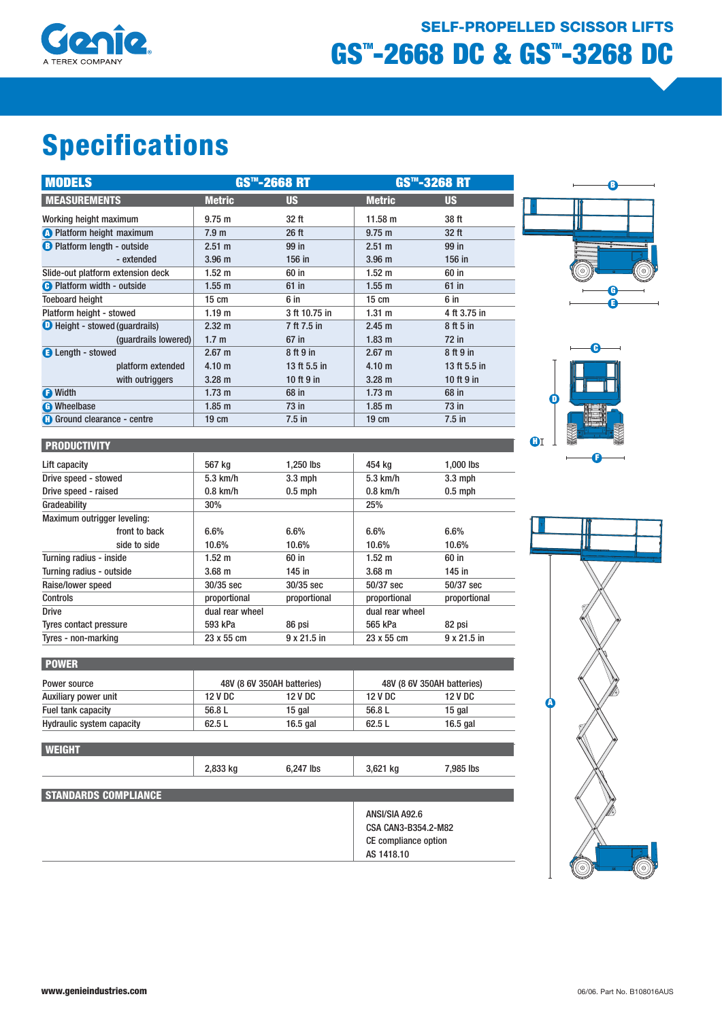

# GS<sup>T</sup>-2668 DC & GS<sup>T</sup>-3268 DC SELF-PROPELLED SCISSOR LIFTS

# Specifications

| <b>MODELS</b>                         | GS™-2668 RT       |               | GS™-3268 RT       |              |
|---------------------------------------|-------------------|---------------|-------------------|--------------|
| <b>MEASUREMENTS</b>                   | <b>Metric</b>     | <b>US</b>     | <b>Metric</b>     | <b>US</b>    |
| Working height maximum                | 9.75 m            | 32 ft         | $11.58 \text{ m}$ | 38 ft        |
| <b>A</b> Platform height maximum      | 7.9 <sub>m</sub>  | $26$ ft       | $9.75 \text{ m}$  | $32$ ft      |
| <b>B</b> Platform length - outside    | 2.51 m            | 99 in         | $2.51 \text{ m}$  | 99 in        |
| - extended                            | 3.96 <sub>m</sub> | 156 in        | 3.96 <sub>m</sub> | 156 in       |
| Slide-out platform extension deck     | $1.52 \text{ m}$  | 60 in         | $1.52 \text{ m}$  | 60 in        |
| <b>B</b> Platform width - outside     | $1.55$ m          | $61$ in       | $1.55$ m          | $61$ in      |
| <b>Toeboard height</b>                | $15 \text{ cm}$   | 6 in          | $15 \text{ cm}$   | 6 in         |
| Platform height - stowed              | 1.19 <sub>m</sub> | 3 ft 10.75 in | 1.31 m            | 4 ft 3.75 in |
| <b>O</b> Height - stowed (guardrails) | $2.32 \text{ m}$  | 7 ft 7.5 in   | 2.45 m            | 8 ft 5 in    |
| (quardrails lowered)                  | 1.7 <sub>m</sub>  | $67$ in       | $1.83 \text{ m}$  | $72$ in      |
| <b>B</b> Length - stowed              | $2.67 \; m$       | 8 ft 9 in     | $2.67 \text{ m}$  | 8 ft 9 in    |
| platform extended                     | 4.10 <sub>m</sub> | 13 ft 5.5 in  | 4.10 <sub>m</sub> | 13 ft 5.5 in |
| with outriggers                       | $3.28 \text{ m}$  | 10 ft 9 in    | $3.28 \text{ m}$  | 10 ft 9 in   |
| <b>D</b> Width                        | $1.73 \text{ m}$  | 68 in         | $1.73 \text{ m}$  | 68 in        |
| <b>O</b> Wheelbase                    | $1.85$ m          | $73$ in       | $1.85$ m          | 73 in        |
| <b>a</b> Ground clearance - centre    | $19 \text{ cm}$   | $7.5$ in      | $19 \text{ cm}$   | $7.5$ in     |







| <b>PRODUCTIVITY</b>           |                   |                    |                   |                    |
|-------------------------------|-------------------|--------------------|-------------------|--------------------|
| Lift capacity                 | 567 kg            | 1,250 lbs          | 454 kg            | 1,000 lbs          |
| Drive speed - stowed          | $5.3$ km/h        | $3.3$ mph          | $5.3$ km/h        | $3.3$ mph          |
| Drive speed - raised          | $0.8$ km/h        | $0.5$ mph          | $0.8$ km/h        | $0.5$ mph          |
| Gradeability                  | 30%               |                    | 25%               |                    |
| Maximum outrigger leveling:   |                   |                    |                   |                    |
| front to back                 | 6.6%              | $6.6\%$            | 6.6%              | 6.6%               |
| side to side                  | 10.6%             | 10.6%              | 10.6%             | 10.6%              |
| Turning radius - inside       | $1.52 \text{ m}$  | 60 in              | $1.52 \text{ m}$  | 60 in              |
| Turning radius - outside      | 3.68 <sub>m</sub> | $145$ in           | 3.68 <sub>m</sub> | $145$ in           |
| Raise/lower speed             | 30/35 sec         | $30/35$ sec        | 50/37 sec         | 50/37 sec          |
| <b>Controls</b>               | proportional      | proportional       | proportional      | proportional       |
| <b>Drive</b>                  | dual rear wheel   |                    | dual rear wheel   |                    |
| <b>Tyres contact pressure</b> | 593 kPa           | 86 psi             | 565 kPa           | 82 psi             |
| Tyres - non-marking           | 23 x 55 cm        | $9 \times 21.5$ in | 23 x 55 cm        | $9 \times 21.5$ in |

| <b>POWER</b>                     |                |                            |         |                            |  |
|----------------------------------|----------------|----------------------------|---------|----------------------------|--|
| Power source                     |                | 48V (8 6V 350AH batteries) |         | 48V (8 6V 350AH batteries) |  |
| Auxiliary power unit             | <b>12 V DC</b> | 12 V DC                    | 12 V DC | <b>12 V DC</b>             |  |
| Fuel tank capacity               | 56.8 L         | 15 gal                     | 56.8 L  | 15 gal                     |  |
| <b>Hydraulic system capacity</b> | 62.5L          | 16.5 $q$ al                | 62.5L   | $16.5$ gal                 |  |

| <b>WEIGHT</b>               |          |           |                                                                      |           |  |
|-----------------------------|----------|-----------|----------------------------------------------------------------------|-----------|--|
|                             | 2,833 kg | 6,247 lbs | 3,621 kg                                                             | 7,985 lbs |  |
| <b>STANDARDS COMPLIANCE</b> |          |           |                                                                      |           |  |
|                             |          |           | ANSI/SIA A92.6<br><b>CSA CAN3-B354.2-M82</b><br>CE compliance option |           |  |
|                             |          |           | AS 1418.10                                                           |           |  |

WEIGHT.